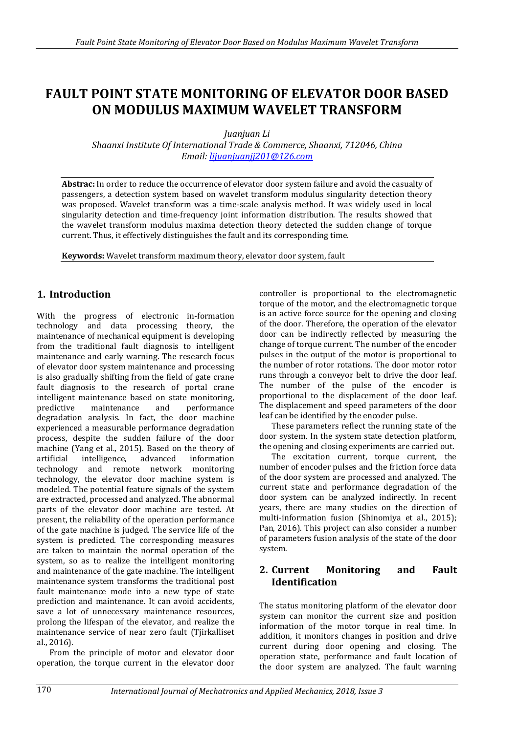# **FAULT POINT STATE MONITORING OF ELEVATOR DOOR BASED ON MODULUS MAXIMUM WAVELET TRANSFORM**

*Juanjuan Li*

*Shaanxi Institute Of International Trade & Commerce, Shaanxi, 712046, China Email: [lijuanjuanjj201@126.com](mailto:lijuanjuanjj201@126.com)*

**Abstrac:** In order to reduce the occurrence of elevator door system failure and avoid the casualty of passengers, a detection system based on wavelet transform modulus singularity detection theory was proposed. Wavelet transform was a time-scale analysis method. It was widely used in local singularity detection and time-frequency joint information distribution. The results showed that the wavelet transform modulus maxima detection theory detected the sudden change of torque current. Thus, it effectively distinguishes the fault and its corresponding time.

**Keywords:** Wavelet transform maximum theory, elevator door system, fault

# **1. Introduction**

With the progress of electronic in-formation technology and data processing theory, the maintenance of mechanical equipment is developing from the traditional fault diagnosis to intelligent maintenance and early warning. The research focus of elevator door system maintenance and processing is also gradually shifting from the field of gate crane fault diagnosis to the research of portal crane intelligent maintenance based on state monitoring, predictive maintenance and performance degradation analysis. In fact, the door machine experienced a measurable performance degradation process, despite the sudden failure of the door machine (Yang et al., 2015). Based on the theory of artificial intelligence, advanced information technology and remote network monitoring technology, the elevator door machine system is modeled. The potential feature signals of the system are extracted, processed and analyzed. The abnormal parts of the elevator door machine are tested. At present, the reliability of the operation performance of the gate machine is judged. The service life of the system is predicted. The corresponding measures are taken to maintain the normal operation of the system, so as to realize the intelligent monitoring and maintenance of the gate machine. The intelligent maintenance system transforms the traditional post fault maintenance mode into a new type of state prediction and maintenance. It can avoid accidents, save a lot of unnecessary maintenance resources, prolong the lifespan of the elevator, and realize the maintenance service of near zero fault (Tjirkalliset al., 2016).

From the principle of motor and elevator door operation, the torque current in the elevator door

controller is proportional to the electromagnetic torque of the motor, and the electromagnetic torque is an active force source for the opening and closing of the door. Therefore, the operation of the elevator door can be indirectly reflected by measuring the change of torque current. The number of the encoder pulses in the output of the motor is proportional to the number of rotor rotations. The door motor rotor runs through a conveyor belt to drive the door leaf. The number of the pulse of the encoder is proportional to the displacement of the door leaf. The displacement and speed parameters of the door leaf can be identified by the encoder pulse.

These parameters reflect the running state of the door system. In the system state detection platform, the opening and closing experiments are carried out.

The excitation current, torque current, the number of encoder pulses and the friction force data of the door system are processed and analyzed. The current state and performance degradation of the door system can be analyzed indirectly. In recent years, there are many studies on the direction of multi-information fusion (Shinomiya et al., 2015); Pan, 2016). This project can also consider a number of parameters fusion analysis of the state of the door system.

# **2. Current Monitoring and Fault Identification**

The status monitoring platform of the elevator door system can monitor the current size and position information of the motor torque in real time. In addition, it monitors changes in position and drive current during door opening and closing. The operation state, performance and fault location of the door system are analyzed. The fault warning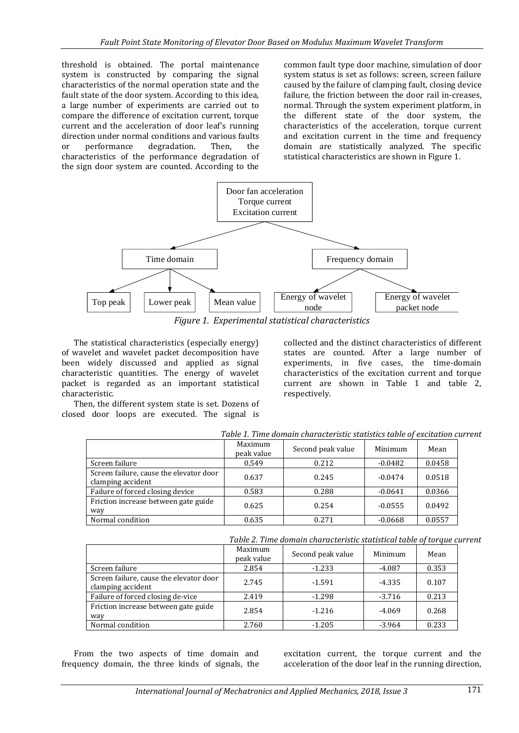threshold is obtained. The portal maintenance system is constructed by comparing the signal characteristics of the normal operation state and the fault state of the door system. According to this idea, a large number of experiments are carried out to compare the difference of excitation current, torque current and the acceleration of door leaf's running direction under normal conditions and various faults or performance degradation. Then, the characteristics of the performance degradation of the sign door system are counted. According to the

common fault type door machine, simulation of door system status is set as follows: screen, screen failure caused by the failure of clamping fault, closing device failure, the friction between the door rail in-creases, normal. Through the system experiment platform, in the different state of the door system, the characteristics of the acceleration, torque current and excitation current in the time and frequency domain are statistically analyzed. The specific statistical characteristics are shown in Figure 1.



*Figure 1. Experimental statistical characteristics*

The statistical characteristics (especially energy) of wavelet and wavelet packet decomposition have been widely discussed and applied as signal characteristic quantities. The energy of wavelet packet is regarded as an important statistical characteristic.

Then, the different system state is set. Dozens of closed door loops are executed. The signal is

collected and the distinct characteristics of different states are counted. After a large number of experiments, in five cases, the time-domain characteristics of the excitation current and torque current are shown in Table 1 and table 2, respectively.

|                                                              | Table 1. Time domain characteristic statistics table of excitation can |       |           |        |  |  |  |
|--------------------------------------------------------------|------------------------------------------------------------------------|-------|-----------|--------|--|--|--|
|                                                              | Maximum<br>Second peak value<br>peak value                             |       | Minimum   | Mean   |  |  |  |
| Screen failure                                               | 0.549                                                                  | 0.212 | $-0.0482$ | 0.0458 |  |  |  |
| Screen failure, cause the elevator door<br>clamping accident | 0.637                                                                  | 0.245 | $-0.0474$ | 0.0518 |  |  |  |
| Failure of forced closing device                             | 0.583                                                                  | 0.288 | $-0.0641$ | 0.0366 |  |  |  |
| Friction increase between gate guide<br>way                  | 0.625                                                                  | 0.254 | $-0.0555$ | 0.0492 |  |  |  |
| Normal condition                                             | 0.635                                                                  | 0.271 | $-0.0668$ | 0.0557 |  |  |  |

*Table 1. Time domain characteristic statistics table of excitation current*

*Table 2. Time domain characteristic statistical table of torque current*

|                                                              | Maximum<br>peak value | Second peak value | Minimum  | Mean  |
|--------------------------------------------------------------|-----------------------|-------------------|----------|-------|
| Screen failure                                               | 2.854                 | $-1.233$          | $-4.087$ | 0.353 |
| Screen failure, cause the elevator door<br>clamping accident | 2.745                 | $-1.591$          | $-4.335$ | 0.107 |
| Failure of forced closing de-vice                            | 2.419                 | $-1.298$          | $-3.716$ | 0.213 |
| Friction increase between gate guide<br>way                  | 2.854                 | $-1.216$          | $-4.069$ | 0.268 |
| Normal condition                                             | 2.760                 | $-1.205$          | $-3.964$ | 0.233 |

From the two aspects of time domain and frequency domain, the three kinds of signals, the

excitation current, the torque current and the acceleration of the door leaf in the running direction,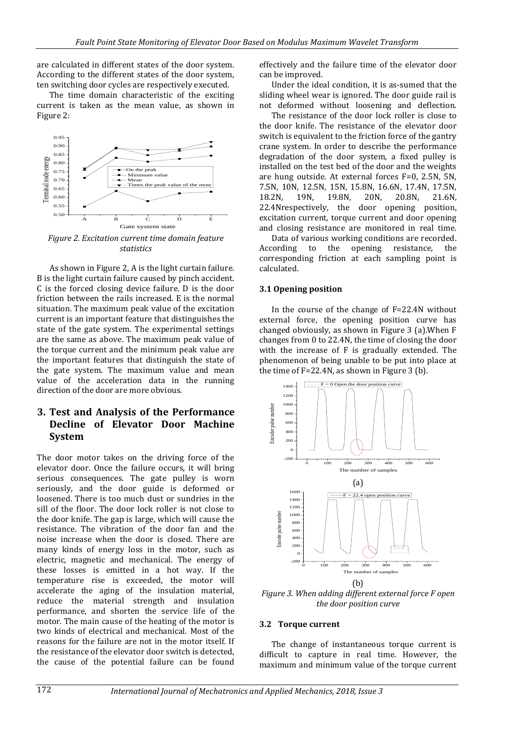are calculated in different states of the door system. According to the different states of the door system, ten switching door cycles are respectively executed.

The time domain characteristic of the exciting current is taken as the mean value, as shown in Figure 2:



*Figure 2. Excitation current time domain feature statistics*

As shown in Figure 2, A is the light curtain failure. B is the light curtain failure caused by pinch accident. C is the forced closing device failure. D is the door friction between the rails increased. E is the normal situation. The maximum peak value of the excitation current is an important feature that distinguishes the state of the gate system. The experimental settings are the same as above. The maximum peak value of the torque current and the minimum peak value are the important features that distinguish the state of the gate system. The maximum value and mean value of the acceleration data in the running direction of the door are more obvious.

# **3. Test and Analysis of the Performance Decline of Elevator Door Machine System**

The door motor takes on the driving force of the elevator door. Once the failure occurs, it will bring serious consequences. The gate pulley is worn seriously, and the door guide is deformed or loosened. There is too much dust or sundries in the sill of the floor. The door lock roller is not close to the door knife. The gap is large, which will cause the resistance. The vibration of the door fan and the noise increase when the door is closed. There are many kinds of energy loss in the motor, such as electric, magnetic and mechanical. The energy of these losses is emitted in a hot way. If the temperature rise is exceeded, the motor will accelerate the aging of the insulation material, reduce the material strength and insulation performance, and shorten the service life of the motor. The main cause of the heating of the motor is two kinds of electrical and mechanical. Most of the reasons for the failure are not in the motor itself. If the resistance of the elevator door switch is detected, the cause of the potential failure can be found

effectively and the failure time of the elevator door can be improved.

Under the ideal condition, it is as-sumed that the sliding wheel wear is ignored. The door guide rail is not deformed without loosening and deflection.

The resistance of the door lock roller is close to the door knife. The resistance of the elevator door switch is equivalent to the friction force of the gantry crane system. In order to describe the performance degradation of the door system, a fixed pulley is installed on the test bed of the door and the weights are hung outside. At external forces F=0, 2.5N, 5N, 7.5N, 10N, 12.5N, 15N, 15.8N, 16.6N, 17.4N, 17.5N, 18.2N, 19N, 19.8N, 20N, 20.8N, 21.6N, 22.4Nrespectively, the door opening position, excitation current, torque current and door opening and closing resistance are monitored in real time.

Data of various working conditions are recorded. According to the opening resistance, the corresponding friction at each sampling point is calculated.

## **3.1 Opening position**

In the course of the change of F=22.4N without external force, the opening position curve has changed obviously, as shown in Figure 3 (a).When F changes from 0 to 22.4N, the time of closing the door with the increase of F is gradually extended. The phenomenon of being unable to be put into place at the time of F=22.4N, as shown in Figure 3 (b).



*Figure 3. When adding different external force F open the door position curve*

### **3.2 Torque current**

The change of instantaneous torque current is difficult to capture in real time. However, the maximum and minimum value of the torque current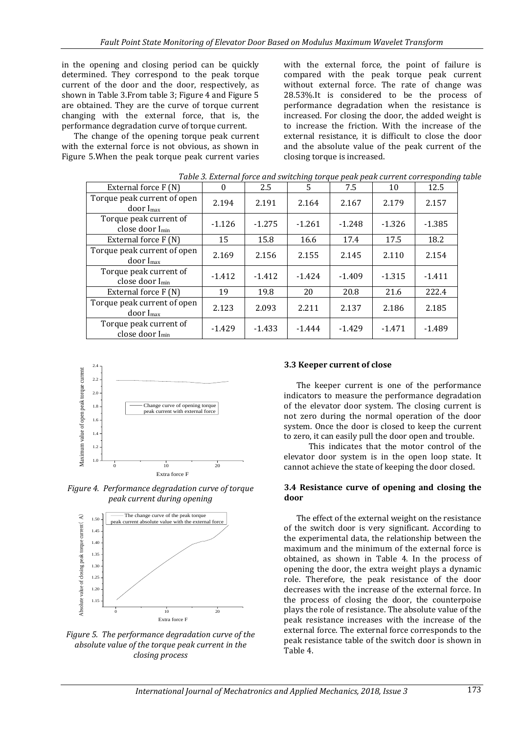in the opening and closing period can be quickly determined. They correspond to the peak torque current of the door and the door, respectively, as shown in Table 3.From table 3; Figure 4 and Figure 5 are obtained. They are the curve of torque current changing with the external force, that is, the performance degradation curve of torque current.

The change of the opening torque peak current with the external force is not obvious, as shown in Figure 5.When the peak torque peak current varies

with the external force, the point of failure is compared with the peak torque peak current without external force. The rate of change was 28.53%.It is considered to be the process of performance degradation when the resistance is increased. For closing the door, the added weight is to increase the friction. With the increase of the external resistance, it is difficult to close the door and the absolute value of the peak current of the closing torque is increased.

|                                                       |          |          |          |          |          | Table 5. External force and switching torque peak peak current corresponding |
|-------------------------------------------------------|----------|----------|----------|----------|----------|------------------------------------------------------------------------------|
| External force F (N)                                  | $\Omega$ | 2.5      | 5        | 7.5      | 10       | 12.5                                                                         |
| Torque peak current of open<br>$door I_{max}$         | 2.194    | 2.191    | 2.164    | 2.167    | 2.179    | 2.157                                                                        |
| Torque peak current of<br>close door I <sub>min</sub> | $-1.126$ | $-1.275$ | $-1.261$ | $-1.248$ | $-1.326$ | $-1.385$                                                                     |
| External force F (N)                                  | 15       | 15.8     | 16.6     | 17.4     | 17.5     | 18.2                                                                         |
| Torque peak current of open<br>$door I_{max}$         | 2.169    | 2.156    | 2.155    | 2.145    | 2.110    | 2.154                                                                        |
| Torque peak current of<br>close door I <sub>min</sub> | $-1.412$ | $-1.412$ | $-1.424$ | $-1.409$ | $-1.315$ | $-1.411$                                                                     |
| External force $F(N)$                                 | 19       | 19.8     | 20       | 20.8     | 21.6     | 222.4                                                                        |
| Torque peak current of open<br>$door I_{max}$         | 2.123    | 2.093    | 2.211    | 2.137    | 2.186    | 2.185                                                                        |
| Torque peak current of<br>close door I <sub>min</sub> | $-1.429$ | $-1.433$ | $-1.444$ | $-1.429$ | $-1.471$ | $-1.489$                                                                     |

*Table 3. External force and switching torque peak peak current corresponding table*



*Figure 4. Performance degradation curve of torque peak current during opening*





## **3.3 Keeper current of close**

The keeper current is one of the performance indicators to measure the performance degradation of the elevator door system. The closing current is not zero during the normal operation of the door system. Once the door is closed to keep the current to zero, it can easily pull the door open and trouble.

This indicates that the motor control of the elevator door system is in the open loop state. It cannot achieve the state of keeping the door closed.

#### **3.4 Resistance curve of opening and closing the door**

The effect of the external weight on the resistance of the switch door is very significant. According to the experimental data, the relationship between the maximum and the minimum of the external force is obtained, as shown in Table 4. In the process of opening the door, the extra weight plays a dynamic role. Therefore, the peak resistance of the door decreases with the increase of the external force. In the process of closing the door, the counterpoise plays the role of resistance. The absolute value of the peak resistance increases with the increase of the external force. The external force corresponds to the peak resistance table of the switch door is shown in Table 4.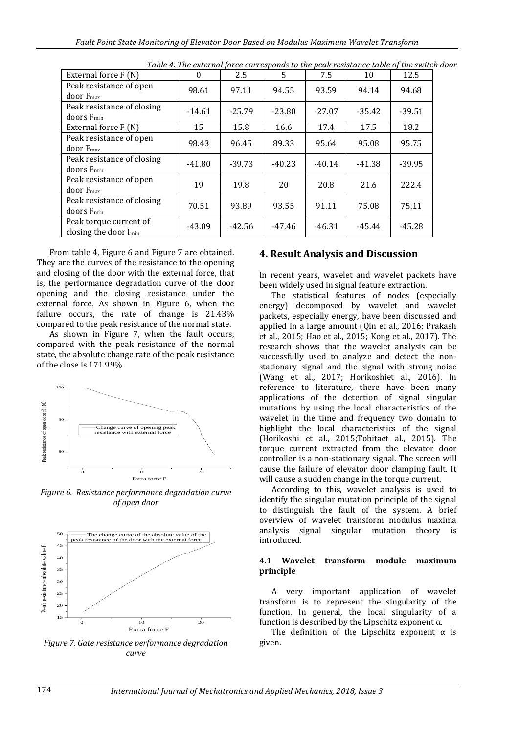| External force F (N)                                        | $\Omega$ | 2.5      | 5        | 7.5      | 10       | 12.5     |
|-------------------------------------------------------------|----------|----------|----------|----------|----------|----------|
| Peak resistance of open<br>door F <sub>max</sub>            | 98.61    | 97.11    | 94.55    | 93.59    | 94.14    | 94.68    |
| Peak resistance of closing<br>$d$ oors $F_{min}$            | $-14.61$ | $-25.79$ | $-23.80$ | $-27.07$ | $-35.42$ | $-39.51$ |
| External force F (N)                                        | 15       | 15.8     | 16.6     | 17.4     | 17.5     | 18.2     |
| Peak resistance of open<br>door F <sub>max</sub>            | 98.43    | 96.45    | 89.33    | 95.64    | 95.08    | 95.75    |
| Peak resistance of closing<br>$d$ oors $F_{min}$            | $-41.80$ | $-39.73$ | $-40.23$ | $-40.14$ | $-41.38$ | $-39.95$ |
| Peak resistance of open<br>door F <sub>max</sub>            | 19       | 19.8     | 20       | 20.8     | 21.6     | 222.4    |
| Peak resistance of closing<br>$d$ oors $F_{min}$            | 70.51    | 93.89    | 93.55    | 91.11    | 75.08    | 75.11    |
| Peak torque current of<br>closing the door I <sub>min</sub> | $-43.09$ | $-42.56$ | $-47.46$ | $-46.31$ | $-45.44$ | $-45.28$ |

*Table 4. The external force corresponds to the peak resistance table of the switch door*

From table 4, Figure 6 and Figure 7 are obtained. They are the curves of the resistance to the opening and closing of the door with the external force, that is, the performance degradation curve of the door opening and the closing resistance under the external force. As shown in Figure 6, when the failure occurs, the rate of change is 21.43% compared to the peak resistance of the normal state.

As shown in Figure 7, when the fault occurs, compared with the peak resistance of the normal state, the absolute change rate of the peak resistance of the close is 171.99%.



*Figure 6. Resistance performance degradation curve of open door*



*Figure 7. Gate resistance performance degradation curve*

#### **4. Result Analysis and Discussion**

In recent years, wavelet and wavelet packets have been widely used in signal feature extraction.

The statistical features of nodes (especially energy) decomposed by wavelet and wavelet packets, especially energy, have been discussed and applied in a large amount (Qin et al., 2016; Prakash et al., 2015; Hao et al., 2015; Kong et al., 2017). The research shows that the wavelet analysis can be successfully used to analyze and detect the nonstationary signal and the signal with strong noise (Wang et al., 2017; Horikoshiet al., 2016). In reference to literature, there have been many applications of the detection of signal singular mutations by using the local characteristics of the wavelet in the time and frequency two domain to highlight the local characteristics of the signal (Horikoshi et al., 2015;Tobitaet al., 2015). The torque current extracted from the elevator door controller is a non-stationary signal. The screen will cause the failure of elevator door clamping fault. It will cause a sudden change in the torque current.

According to this, wavelet analysis is used to identify the singular mutation principle of the signal to distinguish the fault of the system. A brief overview of wavelet transform modulus maxima analysis signal singular mutation theory is introduced.

#### **4.1 Wavelet transform module maximum principle**

A very important application of wavelet transform is to represent the singularity of the function. In general, the local singularity of a function is described by the Lipschitz exponent  $\alpha$ .

The definition of the Lipschitz exponent  $\alpha$  is given.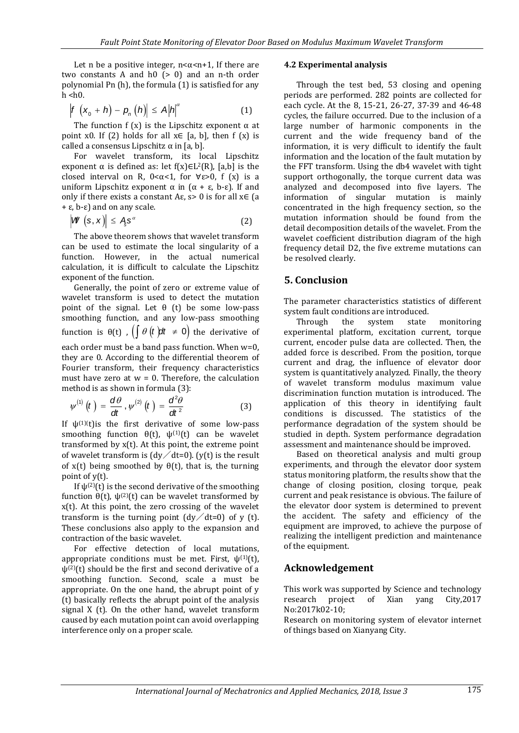Let n be a positive integer,  $n < \alpha < n+1$ , If there are two constants A and  $h0$  ( $> 0$ ) and an n-th order polynomial Pn (h), the formula (1) is satisfied for any  $h$  <h $h$ .

$$
\left| f\left( x_{0}+h\right) -p_{n}\left( h\right) \right| \leq A\left| h\right| ^{\alpha }\tag{1}
$$

The function f (x) is the Lipschitz exponent  $\alpha$  at point x0. If (2) holds for all  $x \in [a, b]$ , then f  $(x)$  is called a consensus Lipschitz  $\alpha$  in [a, b].

For wavelet transform, its local Lipschitz exponent  $\alpha$  is defined as: let f(x)∈L<sup>2</sup>(R), [a,b] is the closed interval on R,  $0 < \alpha < 1$ , for  $\forall \varepsilon > 0$ , f (x) is a uniform Lipschitz exponent  $\alpha$  in  $(α + ε, b - ε)$ . If and only if there exists a constant A $\varepsilon$ , s> 0 is for all  $x \in$  (a + ε, b-ε) and on any scale.

$$
\left|\mathbf{W}\left(\mathbf{s},\mathbf{x}\right)\right| \leq A_{\mathbf{s}}\mathbf{s}^{\alpha} \tag{2}
$$

The above theorem shows that wavelet transform can be used to estimate the local singularity of a function. However, in the actual numerical calculation, it is difficult to calculate the Lipschitz exponent of the function.

Generally, the point of zero or extreme value of wavelet transform is used to detect the mutation point of the signal. Let  $θ$  (t) be some low-pass smoothing function, and any low-pass smoothing function is  $\theta(t)$  ,  $\left(\int \theta(t) dt \neq 0\right)$  the derivative of

each order must be a band pass function. When w=0, they are 0. According to the differential theorem of Fourier transform, their frequency characteristics must have zero at  $w = 0$ . Therefore, the calculation method is as shown in formula (3):

$$
\psi^{(1)}(t) = \frac{d\theta}{dt}, \psi^{(2)}(t) = \frac{d^2\theta}{dt^2}
$$
 (3)

If  $\psi^{(1)(t)}$  is the first derivative of some low-pass smoothing function  $\theta(t)$ ,  $\psi^{(1)}(t)$  can be wavelet transformed by x(t). At this point, the extreme point of wavelet transform is  $(dy/dt=0)$ . (y(t) is the result of  $x(t)$  being smoothed by  $\theta(t)$ , that is, the turning point of y(t).

If  $\psi^{(2)}(t)$  is the second derivative of the smoothing function  $θ(t)$ ,  $ψ(2)(t)$  can be wavelet transformed by x(t). At this point, the zero crossing of the wavelet transform is the turning point  $(dy/dt=0)$  of y (t). These conclusions also apply to the expansion and contraction of the basic wavelet.

For effective detection of local mutations, appropriate conditions must be met. First,  $\psi^{(1)}(t)$ ,  $\psi^{(2)}(t)$  should be the first and second derivative of a smoothing function. Second, scale a must be appropriate. On the one hand, the abrupt point of y (t) basically reflects the abrupt point of the analysis signal X (t). On the other hand, wavelet transform caused by each mutation point can avoid overlapping interference only on a proper scale.

#### **4.2 Experimental analysis**

Through the test bed, 53 closing and opening periods are performed. 282 points are collected for each cycle. At the 8, 15-21, 26-27, 37-39 and 46-48 cycles, the failure occurred. Due to the inclusion of a large number of harmonic components in the current and the wide frequency band of the information, it is very difficult to identify the fault information and the location of the fault mutation by the FFT transform. Using the db4 wavelet with tight support orthogonally, the torque current data was analyzed and decomposed into five layers. The information of singular mutation is mainly concentrated in the high frequency section, so the mutation information should be found from the detail decomposition details of the wavelet. From the wavelet coefficient distribution diagram of the high frequency detail D2, the five extreme mutations can be resolved clearly.

## **5. Conclusion**

The parameter characteristics statistics of different system fault conditions are introduced.

Through the system state monitoring experimental platform, excitation current, torque current, encoder pulse data are collected. Then, the added force is described. From the position, torque current and drag, the influence of elevator door system is quantitatively analyzed. Finally, the theory of wavelet transform modulus maximum value discrimination function mutation is introduced. The application of this theory in identifying fault conditions is discussed. The statistics of the performance degradation of the system should be studied in depth. System performance degradation assessment and maintenance should be improved.

Based on theoretical analysis and multi group experiments, and through the elevator door system status monitoring platform, the results show that the change of closing position, closing torque, peak current and peak resistance is obvious. The failure of the elevator door system is determined to prevent the accident. The safety and efficiency of the equipment are improved, to achieve the purpose of realizing the intelligent prediction and maintenance of the equipment.

## **Acknowledgement**

This work was supported by Science and technology research project of Xian yang City,2017 No:2017k02-10;

Research on monitoring system of elevator internet of things based on Xianyang City.